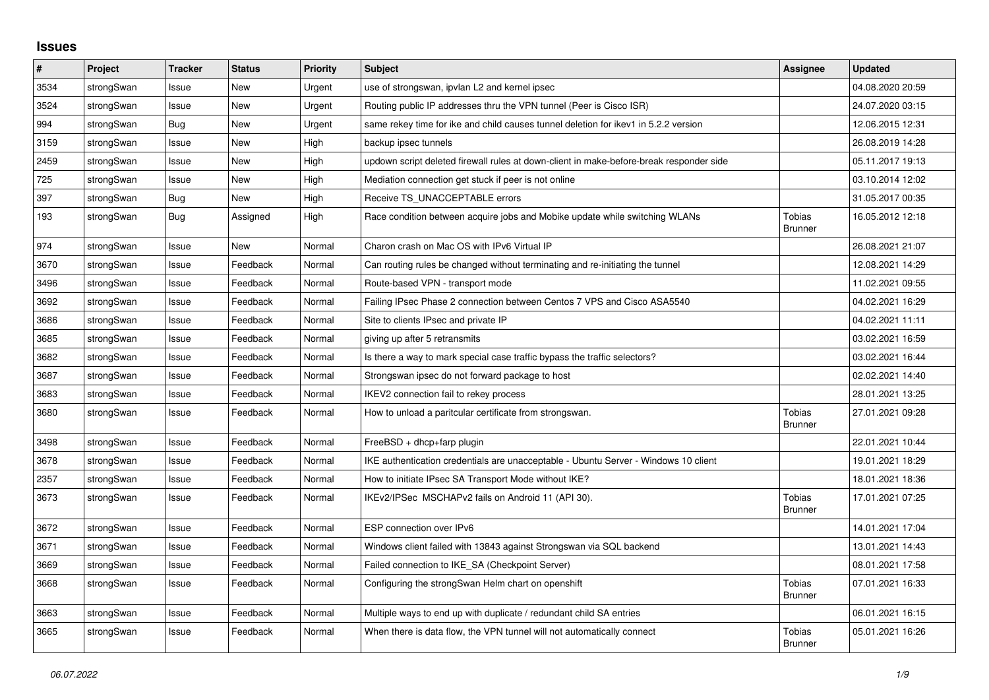## **Issues**

| ∦    | Project    | <b>Tracker</b> | <b>Status</b> | <b>Priority</b> | <b>Subject</b>                                                                          | <b>Assignee</b>                 | <b>Updated</b>   |
|------|------------|----------------|---------------|-----------------|-----------------------------------------------------------------------------------------|---------------------------------|------------------|
| 3534 | strongSwan | Issue          | <b>New</b>    | Urgent          | use of strongswan, ipvlan L2 and kernel ipsec                                           |                                 | 04.08.2020 20:59 |
| 3524 | strongSwan | Issue          | <b>New</b>    | Urgent          | Routing public IP addresses thru the VPN tunnel (Peer is Cisco ISR)                     |                                 | 24.07.2020 03:15 |
| 994  | strongSwan | Bug            | <b>New</b>    | Urgent          | same rekey time for ike and child causes tunnel deletion for ikev1 in 5.2.2 version     |                                 | 12.06.2015 12:31 |
| 3159 | strongSwan | Issue          | <b>New</b>    | High            | backup ipsec tunnels                                                                    |                                 | 26.08.2019 14:28 |
| 2459 | strongSwan | Issue          | <b>New</b>    | High            | updown script deleted firewall rules at down-client in make-before-break responder side |                                 | 05.11.2017 19:13 |
| 725  | strongSwan | Issue          | New           | High            | Mediation connection get stuck if peer is not online                                    |                                 | 03.10.2014 12:02 |
| 397  | strongSwan | Bug            | New           | High            | Receive TS UNACCEPTABLE errors                                                          |                                 | 31.05.2017 00:35 |
| 193  | strongSwan | Bug            | Assigned      | High            | Race condition between acquire jobs and Mobike update while switching WLANs             | <b>Tobias</b><br><b>Brunner</b> | 16.05.2012 12:18 |
| 974  | strongSwan | Issue          | <b>New</b>    | Normal          | Charon crash on Mac OS with IPv6 Virtual IP                                             |                                 | 26.08.2021 21:07 |
| 3670 | strongSwan | Issue          | Feedback      | Normal          | Can routing rules be changed without terminating and re-initiating the tunnel           |                                 | 12.08.2021 14:29 |
| 3496 | strongSwan | Issue          | Feedback      | Normal          | Route-based VPN - transport mode                                                        |                                 | 11.02.2021 09:55 |
| 3692 | strongSwan | Issue          | Feedback      | Normal          | Failing IPsec Phase 2 connection between Centos 7 VPS and Cisco ASA5540                 |                                 | 04.02.2021 16:29 |
| 3686 | strongSwan | Issue          | Feedback      | Normal          | Site to clients IPsec and private IP                                                    |                                 | 04.02.2021 11:11 |
| 3685 | strongSwan | Issue          | Feedback      | Normal          | giving up after 5 retransmits                                                           |                                 | 03.02.2021 16:59 |
| 3682 | strongSwan | Issue          | Feedback      | Normal          | Is there a way to mark special case traffic bypass the traffic selectors?               |                                 | 03.02.2021 16:44 |
| 3687 | strongSwan | Issue          | Feedback      | Normal          | Strongswan ipsec do not forward package to host                                         |                                 | 02.02.2021 14:40 |
| 3683 | strongSwan | Issue          | Feedback      | Normal          | IKEV2 connection fail to rekey process                                                  |                                 | 28.01.2021 13:25 |
| 3680 | strongSwan | Issue          | Feedback      | Normal          | How to unload a paritcular certificate from strongswan.                                 | <b>Tobias</b><br><b>Brunner</b> | 27.01.2021 09:28 |
| 3498 | strongSwan | Issue          | Feedback      | Normal          | FreeBSD + dhcp+farp plugin                                                              |                                 | 22.01.2021 10:44 |
| 3678 | strongSwan | Issue          | Feedback      | Normal          | IKE authentication credentials are unacceptable - Ubuntu Server - Windows 10 client     |                                 | 19.01.2021 18:29 |
| 2357 | strongSwan | Issue          | Feedback      | Normal          | How to initiate IPsec SA Transport Mode without IKE?                                    |                                 | 18.01.2021 18:36 |
| 3673 | strongSwan | Issue          | Feedback      | Normal          | IKEv2/IPSec MSCHAPv2 fails on Android 11 (API 30).                                      | Tobias<br><b>Brunner</b>        | 17.01.2021 07:25 |
| 3672 | strongSwan | Issue          | Feedback      | Normal          | ESP connection over IPv6                                                                |                                 | 14.01.2021 17:04 |
| 3671 | strongSwan | Issue          | Feedback      | Normal          | Windows client failed with 13843 against Strongswan via SQL backend                     |                                 | 13.01.2021 14:43 |
| 3669 | strongSwan | Issue          | Feedback      | Normal          | Failed connection to IKE SA (Checkpoint Server)                                         |                                 | 08.01.2021 17:58 |
| 3668 | strongSwan | Issue          | Feedback      | Normal          | Configuring the strongSwan Helm chart on openshift                                      | Tobias<br><b>Brunner</b>        | 07.01.2021 16:33 |
| 3663 | strongSwan | Issue          | Feedback      | Normal          | Multiple ways to end up with duplicate / redundant child SA entries                     |                                 | 06.01.2021 16:15 |
| 3665 | strongSwan | Issue          | Feedback      | Normal          | When there is data flow, the VPN tunnel will not automatically connect                  | <b>Tobias</b><br><b>Brunner</b> | 05.01.2021 16:26 |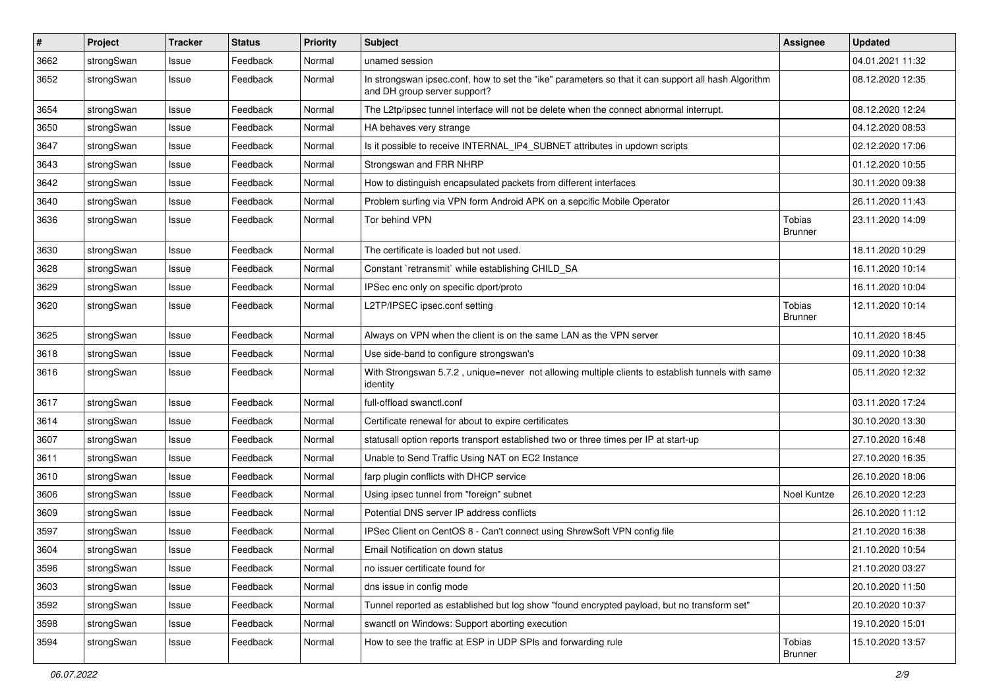| $\pmb{\#}$ | Project    | <b>Tracker</b> | <b>Status</b> | <b>Priority</b> | Subject                                                                                                                             | <b>Assignee</b>                 | <b>Updated</b>   |
|------------|------------|----------------|---------------|-----------------|-------------------------------------------------------------------------------------------------------------------------------------|---------------------------------|------------------|
| 3662       | strongSwan | Issue          | Feedback      | Normal          | unamed session                                                                                                                      |                                 | 04.01.2021 11:32 |
| 3652       | strongSwan | Issue          | Feedback      | Normal          | In strongswan ipsec.conf, how to set the "ike" parameters so that it can support all hash Algorithm<br>and DH group server support? |                                 | 08.12.2020 12:35 |
| 3654       | strongSwan | Issue          | Feedback      | Normal          | The L2tp/ipsec tunnel interface will not be delete when the connect abnormal interrupt.                                             |                                 | 08.12.2020 12:24 |
| 3650       | strongSwan | Issue          | Feedback      | Normal          | HA behaves very strange                                                                                                             |                                 | 04.12.2020 08:53 |
| 3647       | strongSwan | Issue          | Feedback      | Normal          | Is it possible to receive INTERNAL_IP4_SUBNET attributes in updown scripts                                                          |                                 | 02.12.2020 17:06 |
| 3643       | strongSwan | Issue          | Feedback      | Normal          | Strongswan and FRR NHRP                                                                                                             |                                 | 01.12.2020 10:55 |
| 3642       | strongSwan | Issue          | Feedback      | Normal          | How to distinguish encapsulated packets from different interfaces                                                                   |                                 | 30.11.2020 09:38 |
| 3640       | strongSwan | Issue          | Feedback      | Normal          | Problem surfing via VPN form Android APK on a sepcific Mobile Operator                                                              |                                 | 26.11.2020 11:43 |
| 3636       | strongSwan | Issue          | Feedback      | Normal          | Tor behind VPN                                                                                                                      | <b>Tobias</b><br><b>Brunner</b> | 23.11.2020 14:09 |
| 3630       | strongSwan | Issue          | Feedback      | Normal          | The certificate is loaded but not used.                                                                                             |                                 | 18.11.2020 10:29 |
| 3628       | strongSwan | Issue          | Feedback      | Normal          | Constant `retransmit` while establishing CHILD_SA                                                                                   |                                 | 16.11.2020 10:14 |
| 3629       | strongSwan | Issue          | Feedback      | Normal          | IPSec enc only on specific dport/proto                                                                                              |                                 | 16.11.2020 10:04 |
| 3620       | strongSwan | Issue          | Feedback      | Normal          | L2TP/IPSEC ipsec.conf setting                                                                                                       | <b>Tobias</b><br>Brunner        | 12.11.2020 10:14 |
| 3625       | strongSwan | Issue          | Feedback      | Normal          | Always on VPN when the client is on the same LAN as the VPN server                                                                  |                                 | 10.11.2020 18:45 |
| 3618       | strongSwan | Issue          | Feedback      | Normal          | Use side-band to configure strongswan's                                                                                             |                                 | 09.11.2020 10:38 |
| 3616       | strongSwan | Issue          | Feedback      | Normal          | With Strongswan 5.7.2, unique=never not allowing multiple clients to establish tunnels with same<br>identity                        |                                 | 05.11.2020 12:32 |
| 3617       | strongSwan | Issue          | Feedback      | Normal          | full-offload swanctl.conf                                                                                                           |                                 | 03.11.2020 17:24 |
| 3614       | strongSwan | Issue          | Feedback      | Normal          | Certificate renewal for about to expire certificates                                                                                |                                 | 30.10.2020 13:30 |
| 3607       | strongSwan | Issue          | Feedback      | Normal          | statusall option reports transport established two or three times per IP at start-up                                                |                                 | 27.10.2020 16:48 |
| 3611       | strongSwan | Issue          | Feedback      | Normal          | Unable to Send Traffic Using NAT on EC2 Instance                                                                                    |                                 | 27.10.2020 16:35 |
| 3610       | strongSwan | Issue          | Feedback      | Normal          | farp plugin conflicts with DHCP service                                                                                             |                                 | 26.10.2020 18:06 |
| 3606       | strongSwan | Issue          | Feedback      | Normal          | Using ipsec tunnel from "foreign" subnet                                                                                            | Noel Kuntze                     | 26.10.2020 12:23 |
| 3609       | strongSwan | Issue          | Feedback      | Normal          | Potential DNS server IP address conflicts                                                                                           |                                 | 26.10.2020 11:12 |
| 3597       | strongSwan | Issue          | Feedback      | Normal          | IPSec Client on CentOS 8 - Can't connect using ShrewSoft VPN config file                                                            |                                 | 21.10.2020 16:38 |
| 3604       | strongSwan | Issue          | Feedback      | Normal          | Email Notification on down status                                                                                                   |                                 | 21.10.2020 10:54 |
| 3596       | strongSwan | Issue          | Feedback      | Normal          | no issuer certificate found for                                                                                                     |                                 | 21.10.2020 03:27 |
| 3603       | strongSwan | Issue          | Feedback      | Normal          | dns issue in config mode                                                                                                            |                                 | 20.10.2020 11:50 |
| 3592       | strongSwan | Issue          | Feedback      | Normal          | Tunnel reported as established but log show "found encrypted payload, but no transform set"                                         |                                 | 20.10.2020 10:37 |
| 3598       | strongSwan | Issue          | Feedback      | Normal          | swanctl on Windows: Support aborting execution                                                                                      |                                 | 19.10.2020 15:01 |
| 3594       | strongSwan | Issue          | Feedback      | Normal          | How to see the traffic at ESP in UDP SPIs and forwarding rule                                                                       | Tobias<br><b>Brunner</b>        | 15.10.2020 13:57 |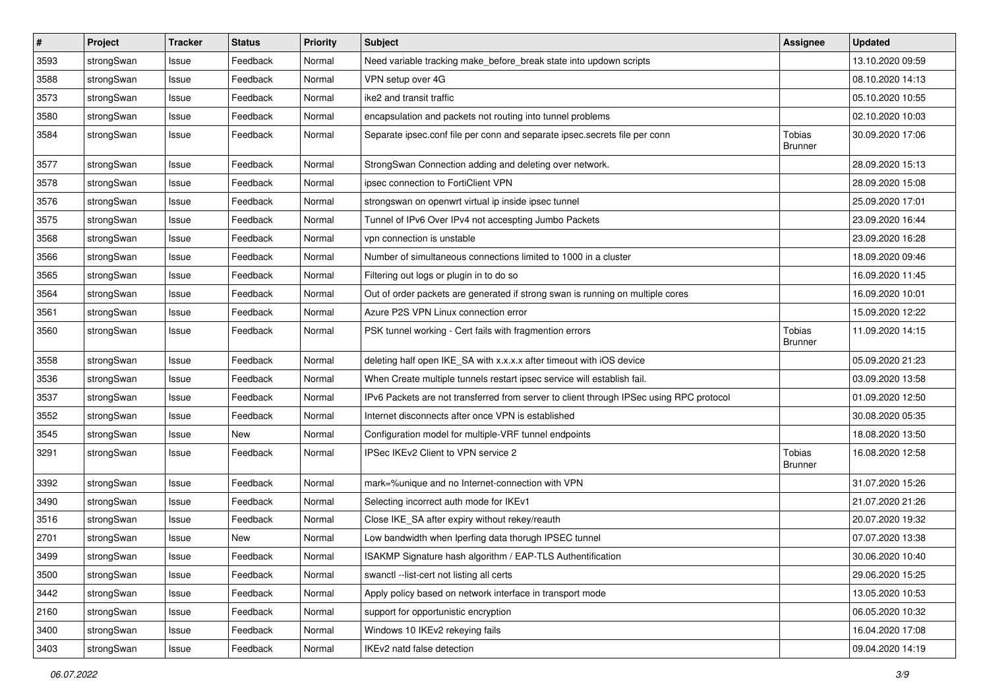| #    | Project    | <b>Tracker</b> | <b>Status</b> | <b>Priority</b> | <b>Subject</b>                                                                          | <b>Assignee</b>                 | <b>Updated</b>   |
|------|------------|----------------|---------------|-----------------|-----------------------------------------------------------------------------------------|---------------------------------|------------------|
| 3593 | strongSwan | Issue          | Feedback      | Normal          | Need variable tracking make_before_break state into updown scripts                      |                                 | 13.10.2020 09:59 |
| 3588 | strongSwan | Issue          | Feedback      | Normal          | VPN setup over 4G                                                                       |                                 | 08.10.2020 14:13 |
| 3573 | strongSwan | Issue          | Feedback      | Normal          | ike2 and transit traffic                                                                |                                 | 05.10.2020 10:55 |
| 3580 | strongSwan | Issue          | Feedback      | Normal          | encapsulation and packets not routing into tunnel problems                              |                                 | 02.10.2020 10:03 |
| 3584 | strongSwan | Issue          | Feedback      | Normal          | Separate ipsec.conf file per conn and separate ipsec.secrets file per conn              | Tobias<br>Brunner               | 30.09.2020 17:06 |
| 3577 | strongSwan | Issue          | Feedback      | Normal          | StrongSwan Connection adding and deleting over network.                                 |                                 | 28.09.2020 15:13 |
| 3578 | strongSwan | Issue          | Feedback      | Normal          | ipsec connection to FortiClient VPN                                                     |                                 | 28.09.2020 15:08 |
| 3576 | strongSwan | Issue          | Feedback      | Normal          | strongswan on openwrt virtual ip inside ipsec tunnel                                    |                                 | 25.09.2020 17:01 |
| 3575 | strongSwan | Issue          | Feedback      | Normal          | Tunnel of IPv6 Over IPv4 not accespting Jumbo Packets                                   |                                 | 23.09.2020 16:44 |
| 3568 | strongSwan | Issue          | Feedback      | Normal          | vpn connection is unstable                                                              |                                 | 23.09.2020 16:28 |
| 3566 | strongSwan | Issue          | Feedback      | Normal          | Number of simultaneous connections limited to 1000 in a cluster                         |                                 | 18.09.2020 09:46 |
| 3565 | strongSwan | Issue          | Feedback      | Normal          | Filtering out logs or plugin in to do so                                                |                                 | 16.09.2020 11:45 |
| 3564 | strongSwan | Issue          | Feedback      | Normal          | Out of order packets are generated if strong swan is running on multiple cores          |                                 | 16.09.2020 10:01 |
| 3561 | strongSwan | Issue          | Feedback      | Normal          | Azure P2S VPN Linux connection error                                                    |                                 | 15.09.2020 12:22 |
| 3560 | strongSwan | Issue          | Feedback      | Normal          | PSK tunnel working - Cert fails with fragmention errors                                 | Tobias<br><b>Brunner</b>        | 11.09.2020 14:15 |
| 3558 | strongSwan | Issue          | Feedback      | Normal          | deleting half open IKE_SA with x.x.x.x after timeout with iOS device                    |                                 | 05.09.2020 21:23 |
| 3536 | strongSwan | Issue          | Feedback      | Normal          | When Create multiple tunnels restart ipsec service will establish fail.                 |                                 | 03.09.2020 13:58 |
| 3537 | strongSwan | Issue          | Feedback      | Normal          | IPv6 Packets are not transferred from server to client through IPSec using RPC protocol |                                 | 01.09.2020 12:50 |
| 3552 | strongSwan | Issue          | Feedback      | Normal          | Internet disconnects after once VPN is established                                      |                                 | 30.08.2020 05:35 |
| 3545 | strongSwan | Issue          | New           | Normal          | Configuration model for multiple-VRF tunnel endpoints                                   |                                 | 18.08.2020 13:50 |
| 3291 | strongSwan | Issue          | Feedback      | Normal          | IPSec IKEv2 Client to VPN service 2                                                     | <b>Tobias</b><br><b>Brunner</b> | 16.08.2020 12:58 |
| 3392 | strongSwan | Issue          | Feedback      | Normal          | mark=%unique and no Internet-connection with VPN                                        |                                 | 31.07.2020 15:26 |
| 3490 | strongSwan | Issue          | Feedback      | Normal          | Selecting incorrect auth mode for IKEv1                                                 |                                 | 21.07.2020 21:26 |
| 3516 | strongSwan | Issue          | Feedback      | Normal          | Close IKE_SA after expiry without rekey/reauth                                          |                                 | 20.07.2020 19:32 |
| 2701 | strongSwan | Issue          | New           | Normal          | Low bandwidth when Iperfing data thorugh IPSEC tunnel                                   |                                 | 07.07.2020 13:38 |
| 3499 | strongSwan | Issue          | Feedback      | Normal          | ISAKMP Signature hash algorithm / EAP-TLS Authentification                              |                                 | 30.06.2020 10:40 |
| 3500 | strongSwan | Issue          | Feedback      | Normal          | swanctl --list-cert not listing all certs                                               |                                 | 29.06.2020 15:25 |
| 3442 | strongSwan | Issue          | Feedback      | Normal          | Apply policy based on network interface in transport mode                               |                                 | 13.05.2020 10:53 |
| 2160 | strongSwan | Issue          | Feedback      | Normal          | support for opportunistic encryption                                                    |                                 | 06.05.2020 10:32 |
| 3400 | strongSwan | Issue          | Feedback      | Normal          | Windows 10 IKEv2 rekeying fails                                                         |                                 | 16.04.2020 17:08 |
| 3403 | strongSwan | Issue          | Feedback      | Normal          | IKEv2 natd false detection                                                              |                                 | 09.04.2020 14:19 |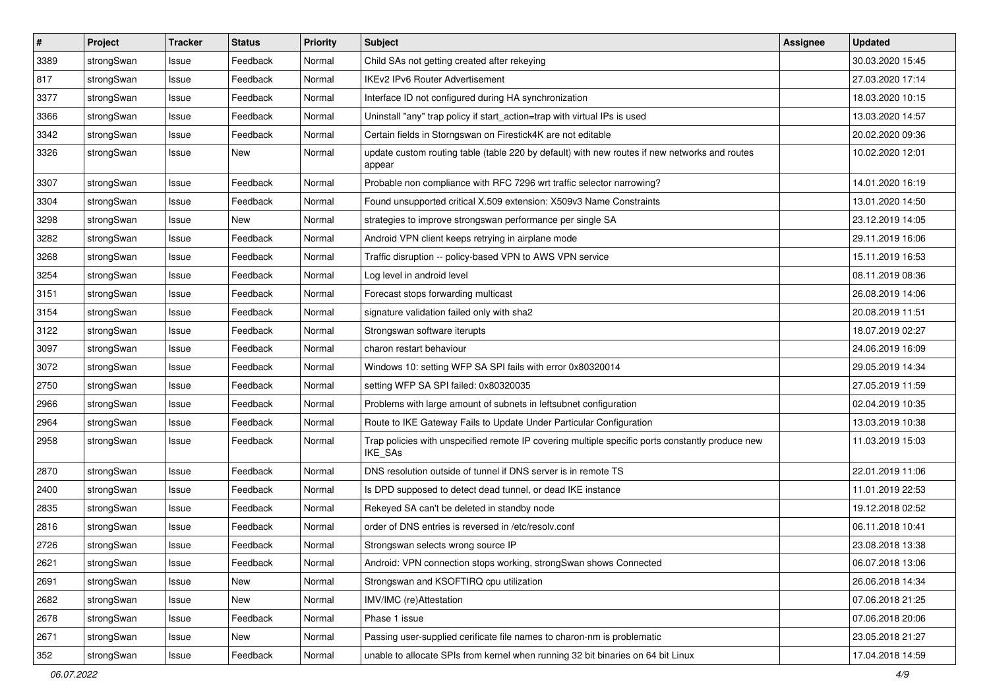| #    | Project    | <b>Tracker</b> | <b>Status</b> | <b>Priority</b> | <b>Subject</b>                                                                                              | <b>Assignee</b> | <b>Updated</b>   |
|------|------------|----------------|---------------|-----------------|-------------------------------------------------------------------------------------------------------------|-----------------|------------------|
| 3389 | strongSwan | Issue          | Feedback      | Normal          | Child SAs not getting created after rekeying                                                                |                 | 30.03.2020 15:45 |
| 817  | strongSwan | Issue          | Feedback      | Normal          | <b>IKEv2 IPv6 Router Advertisement</b>                                                                      |                 | 27.03.2020 17:14 |
| 3377 | strongSwan | Issue          | Feedback      | Normal          | Interface ID not configured during HA synchronization                                                       |                 | 18.03.2020 10:15 |
| 3366 | strongSwan | Issue          | Feedback      | Normal          | Uninstall "any" trap policy if start_action=trap with virtual IPs is used                                   |                 | 13.03.2020 14:57 |
| 3342 | strongSwan | Issue          | Feedback      | Normal          | Certain fields in Storngswan on Firestick4K are not editable                                                |                 | 20.02.2020 09:36 |
| 3326 | strongSwan | Issue          | New           | Normal          | update custom routing table (table 220 by default) with new routes if new networks and routes<br>appear     |                 | 10.02.2020 12:01 |
| 3307 | strongSwan | Issue          | Feedback      | Normal          | Probable non compliance with RFC 7296 wrt traffic selector narrowing?                                       |                 | 14.01.2020 16:19 |
| 3304 | strongSwan | Issue          | Feedback      | Normal          | Found unsupported critical X.509 extension: X509v3 Name Constraints                                         |                 | 13.01.2020 14:50 |
| 3298 | strongSwan | Issue          | <b>New</b>    | Normal          | strategies to improve strongswan performance per single SA                                                  |                 | 23.12.2019 14:05 |
| 3282 | strongSwan | Issue          | Feedback      | Normal          | Android VPN client keeps retrying in airplane mode                                                          |                 | 29.11.2019 16:06 |
| 3268 | strongSwan | Issue          | Feedback      | Normal          | Traffic disruption -- policy-based VPN to AWS VPN service                                                   |                 | 15.11.2019 16:53 |
| 3254 | strongSwan | Issue          | Feedback      | Normal          | Log level in android level                                                                                  |                 | 08.11.2019 08:36 |
| 3151 | strongSwan | Issue          | Feedback      | Normal          | Forecast stops forwarding multicast                                                                         |                 | 26.08.2019 14:06 |
| 3154 | strongSwan | Issue          | Feedback      | Normal          | signature validation failed only with sha2                                                                  |                 | 20.08.2019 11:51 |
| 3122 | strongSwan | Issue          | Feedback      | Normal          | Strongswan software iterupts                                                                                |                 | 18.07.2019 02:27 |
| 3097 | strongSwan | Issue          | Feedback      | Normal          | charon restart behaviour                                                                                    |                 | 24.06.2019 16:09 |
| 3072 | strongSwan | Issue          | Feedback      | Normal          | Windows 10: setting WFP SA SPI fails with error 0x80320014                                                  |                 | 29.05.2019 14:34 |
| 2750 | strongSwan | Issue          | Feedback      | Normal          | setting WFP SA SPI failed: 0x80320035                                                                       |                 | 27.05.2019 11:59 |
| 2966 | strongSwan | Issue          | Feedback      | Normal          | Problems with large amount of subnets in leftsubnet configuration                                           |                 | 02.04.2019 10:35 |
| 2964 | strongSwan | Issue          | Feedback      | Normal          | Route to IKE Gateway Fails to Update Under Particular Configuration                                         |                 | 13.03.2019 10:38 |
| 2958 | strongSwan | Issue          | Feedback      | Normal          | Trap policies with unspecified remote IP covering multiple specific ports constantly produce new<br>IKE_SAs |                 | 11.03.2019 15:03 |
| 2870 | strongSwan | Issue          | Feedback      | Normal          | DNS resolution outside of tunnel if DNS server is in remote TS                                              |                 | 22.01.2019 11:06 |
| 2400 | strongSwan | Issue          | Feedback      | Normal          | Is DPD supposed to detect dead tunnel, or dead IKE instance                                                 |                 | 11.01.2019 22:53 |
| 2835 | strongSwan | Issue          | Feedback      | Normal          | Rekeyed SA can't be deleted in standby node                                                                 |                 | 19.12.2018 02:52 |
| 2816 | strongSwan | Issue          | Feedback      | Normal          | order of DNS entries is reversed in /etc/resolv.conf                                                        |                 | 06.11.2018 10:41 |
| 2726 | strongSwan | Issue          | Feedback      | Normal          | Strongswan selects wrong source IP                                                                          |                 | 23.08.2018 13:38 |
| 2621 | strongSwan | Issue          | Feedback      | Normal          | Android: VPN connection stops working, strongSwan shows Connected                                           |                 | 06.07.2018 13:06 |
| 2691 | strongSwan | Issue          | New           | Normal          | Strongswan and KSOFTIRQ cpu utilization                                                                     |                 | 26.06.2018 14:34 |
| 2682 | strongSwan | Issue          | New           | Normal          | IMV/IMC (re)Attestation                                                                                     |                 | 07.06.2018 21:25 |
| 2678 | strongSwan | Issue          | Feedback      | Normal          | Phase 1 issue                                                                                               |                 | 07.06.2018 20:06 |
| 2671 | strongSwan | Issue          | New           | Normal          | Passing user-supplied cerificate file names to charon-nm is problematic                                     |                 | 23.05.2018 21:27 |
| 352  | strongSwan | Issue          | Feedback      | Normal          | unable to allocate SPIs from kernel when running 32 bit binaries on 64 bit Linux                            |                 | 17.04.2018 14:59 |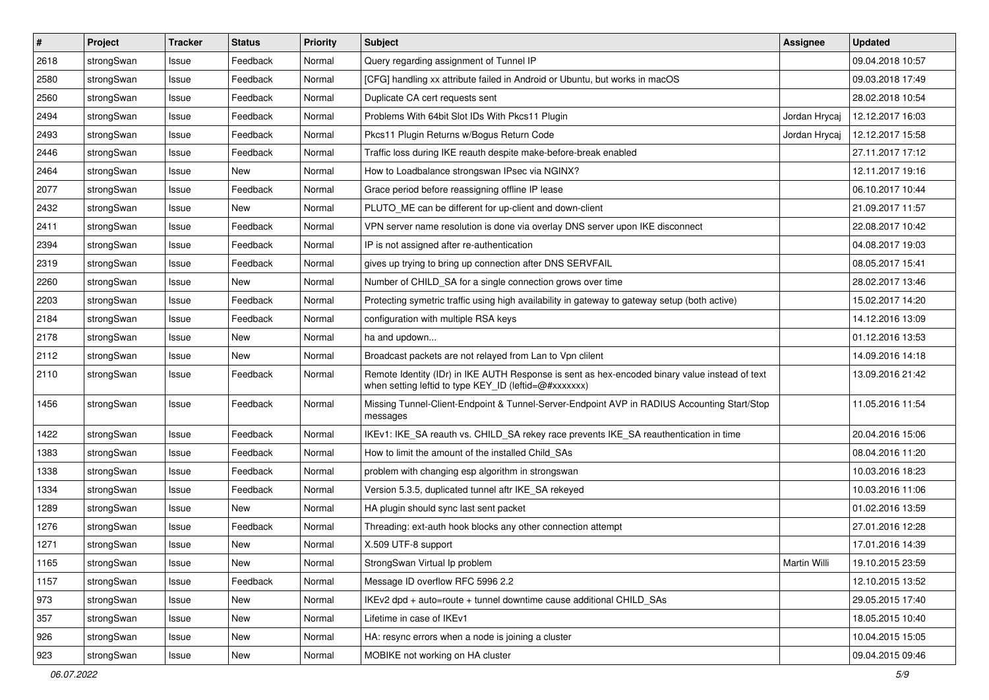| #    | Project    | <b>Tracker</b> | <b>Status</b> | <b>Priority</b> | <b>Subject</b>                                                                                                                                          | Assignee      | <b>Updated</b>   |
|------|------------|----------------|---------------|-----------------|---------------------------------------------------------------------------------------------------------------------------------------------------------|---------------|------------------|
| 2618 | strongSwan | Issue          | Feedback      | Normal          | Query regarding assignment of Tunnel IP                                                                                                                 |               | 09.04.2018 10:57 |
| 2580 | strongSwan | Issue          | Feedback      | Normal          | [CFG] handling xx attribute failed in Android or Ubuntu, but works in macOS                                                                             |               | 09.03.2018 17:49 |
| 2560 | strongSwan | Issue          | Feedback      | Normal          | Duplicate CA cert requests sent                                                                                                                         |               | 28.02.2018 10:54 |
| 2494 | strongSwan | Issue          | Feedback      | Normal          | Problems With 64bit Slot IDs With Pkcs11 Plugin                                                                                                         | Jordan Hrycai | 12.12.2017 16:03 |
| 2493 | strongSwan | Issue          | Feedback      | Normal          | Pkcs11 Plugin Returns w/Bogus Return Code                                                                                                               | Jordan Hrycaj | 12.12.2017 15:58 |
| 2446 | strongSwan | Issue          | Feedback      | Normal          | Traffic loss during IKE reauth despite make-before-break enabled                                                                                        |               | 27.11.2017 17:12 |
| 2464 | strongSwan | Issue          | New           | Normal          | How to Loadbalance strongswan IPsec via NGINX?                                                                                                          |               | 12.11.2017 19:16 |
| 2077 | strongSwan | Issue          | Feedback      | Normal          | Grace period before reassigning offline IP lease                                                                                                        |               | 06.10.2017 10:44 |
| 2432 | strongSwan | Issue          | <b>New</b>    | Normal          | PLUTO_ME can be different for up-client and down-client                                                                                                 |               | 21.09.2017 11:57 |
| 2411 | strongSwan | Issue          | Feedback      | Normal          | VPN server name resolution is done via overlay DNS server upon IKE disconnect                                                                           |               | 22.08.2017 10:42 |
| 2394 | strongSwan | Issue          | Feedback      | Normal          | IP is not assigned after re-authentication                                                                                                              |               | 04.08.2017 19:03 |
| 2319 | strongSwan | Issue          | Feedback      | Normal          | gives up trying to bring up connection after DNS SERVFAIL                                                                                               |               | 08.05.2017 15:41 |
| 2260 | strongSwan | Issue          | <b>New</b>    | Normal          | Number of CHILD_SA for a single connection grows over time                                                                                              |               | 28.02.2017 13:46 |
| 2203 | strongSwan | Issue          | Feedback      | Normal          | Protecting symetric traffic using high availability in gateway to gateway setup (both active)                                                           |               | 15.02.2017 14:20 |
| 2184 | strongSwan | Issue          | Feedback      | Normal          | configuration with multiple RSA keys                                                                                                                    |               | 14.12.2016 13:09 |
| 2178 | strongSwan | Issue          | New           | Normal          | ha and updown                                                                                                                                           |               | 01.12.2016 13:53 |
| 2112 | strongSwan | Issue          | New           | Normal          | Broadcast packets are not relayed from Lan to Vpn clilent                                                                                               |               | 14.09.2016 14:18 |
| 2110 | strongSwan | Issue          | Feedback      | Normal          | Remote Identity (IDr) in IKE AUTH Response is sent as hex-encoded binary value instead of text<br>when setting leftid to type KEY_ID (leftid=@#xxxxxxx) |               | 13.09.2016 21:42 |
| 1456 | strongSwan | Issue          | Feedback      | Normal          | Missing Tunnel-Client-Endpoint & Tunnel-Server-Endpoint AVP in RADIUS Accounting Start/Stop<br>messages                                                 |               | 11.05.2016 11:54 |
| 1422 | strongSwan | Issue          | Feedback      | Normal          | IKEv1: IKE_SA reauth vs. CHILD_SA rekey race prevents IKE_SA reauthentication in time                                                                   |               | 20.04.2016 15:06 |
| 1383 | strongSwan | Issue          | Feedback      | Normal          | How to limit the amount of the installed Child SAs                                                                                                      |               | 08.04.2016 11:20 |
| 1338 | strongSwan | Issue          | Feedback      | Normal          | problem with changing esp algorithm in strongswan                                                                                                       |               | 10.03.2016 18:23 |
| 1334 | strongSwan | Issue          | Feedback      | Normal          | Version 5.3.5, duplicated tunnel aftr IKE_SA rekeyed                                                                                                    |               | 10.03.2016 11:06 |
| 1289 | strongSwan | Issue          | New           | Normal          | HA plugin should sync last sent packet                                                                                                                  |               | 01.02.2016 13:59 |
| 1276 | strongSwan | Issue          | Feedback      | Normal          | Threading: ext-auth hook blocks any other connection attempt                                                                                            |               | 27.01.2016 12:28 |
| 1271 | strongSwan | Issue          | New           | Normal          | X.509 UTF-8 support                                                                                                                                     |               | 17.01.2016 14:39 |
| 1165 | strongSwan | Issue          | New           | Normal          | StrongSwan Virtual Ip problem                                                                                                                           | Martin Willi  | 19.10.2015 23:59 |
| 1157 | strongSwan | Issue          | Feedback      | Normal          | Message ID overflow RFC 5996 2.2                                                                                                                        |               | 12.10.2015 13:52 |
| 973  | strongSwan | Issue          | <b>New</b>    | Normal          | IKEv2 dpd + auto=route + tunnel downtime cause additional CHILD_SAs                                                                                     |               | 29.05.2015 17:40 |
| 357  | strongSwan | Issue          | New           | Normal          | Lifetime in case of IKEv1                                                                                                                               |               | 18.05.2015 10:40 |
| 926  | strongSwan | Issue          | New           | Normal          | HA: resync errors when a node is joining a cluster                                                                                                      |               | 10.04.2015 15:05 |
| 923  | strongSwan | Issue          | New           | Normal          | MOBIKE not working on HA cluster                                                                                                                        |               | 09.04.2015 09:46 |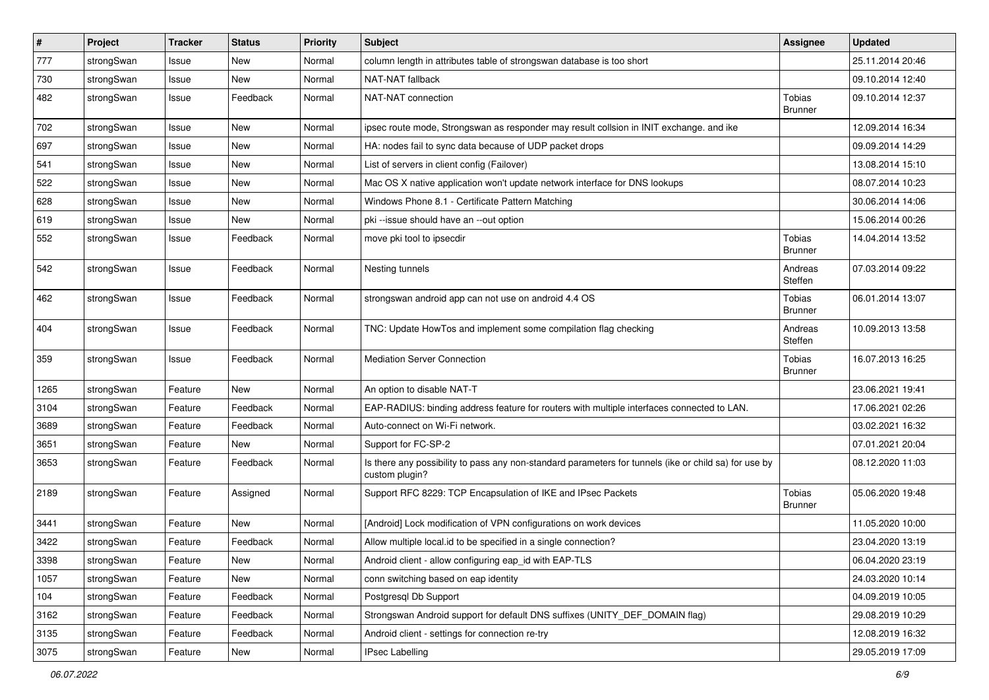| $\sharp$ | Project    | <b>Tracker</b> | <b>Status</b> | <b>Priority</b> | <b>Subject</b>                                                                                                          | <b>Assignee</b>          | <b>Updated</b>   |
|----------|------------|----------------|---------------|-----------------|-------------------------------------------------------------------------------------------------------------------------|--------------------------|------------------|
| 777      | strongSwan | Issue          | New           | Normal          | column length in attributes table of strongswan database is too short                                                   |                          | 25.11.2014 20:46 |
| 730      | strongSwan | Issue          | New           | Normal          | NAT-NAT fallback                                                                                                        |                          | 09.10.2014 12:40 |
| 482      | strongSwan | Issue          | Feedback      | Normal          | NAT-NAT connection                                                                                                      | Tobias<br><b>Brunner</b> | 09.10.2014 12:37 |
| 702      | strongSwan | Issue          | <b>New</b>    | Normal          | ipsec route mode, Strongswan as responder may result collsion in INIT exchange. and ike                                 |                          | 12.09.2014 16:34 |
| 697      | strongSwan | Issue          | New           | Normal          | HA: nodes fail to sync data because of UDP packet drops                                                                 |                          | 09.09.2014 14:29 |
| 541      | strongSwan | Issue          | New           | Normal          | List of servers in client config (Failover)                                                                             |                          | 13.08.2014 15:10 |
| 522      | strongSwan | Issue          | <b>New</b>    | Normal          | Mac OS X native application won't update network interface for DNS lookups                                              |                          | 08.07.2014 10:23 |
| 628      | strongSwan | Issue          | <b>New</b>    | Normal          | Windows Phone 8.1 - Certificate Pattern Matching                                                                        |                          | 30.06.2014 14:06 |
| 619      | strongSwan | Issue          | <b>New</b>    | Normal          | pki --issue should have an --out option                                                                                 |                          | 15.06.2014 00:26 |
| 552      | strongSwan | Issue          | Feedback      | Normal          | move pki tool to ipsecdir                                                                                               | Tobias<br><b>Brunner</b> | 14.04.2014 13:52 |
| 542      | strongSwan | Issue          | Feedback      | Normal          | Nesting tunnels                                                                                                         | Andreas<br>Steffen       | 07.03.2014 09:22 |
| 462      | strongSwan | Issue          | Feedback      | Normal          | strongswan android app can not use on android 4.4 OS                                                                    | Tobias<br>Brunner        | 06.01.2014 13:07 |
| 404      | strongSwan | Issue          | Feedback      | Normal          | TNC: Update HowTos and implement some compilation flag checking                                                         | Andreas<br>Steffen       | 10.09.2013 13:58 |
| 359      | strongSwan | Issue          | Feedback      | Normal          | <b>Mediation Server Connection</b>                                                                                      | Tobias<br><b>Brunner</b> | 16.07.2013 16:25 |
| 1265     | strongSwan | Feature        | <b>New</b>    | Normal          | An option to disable NAT-T                                                                                              |                          | 23.06.2021 19:41 |
| 3104     | strongSwan | Feature        | Feedback      | Normal          | EAP-RADIUS: binding address feature for routers with multiple interfaces connected to LAN.                              |                          | 17.06.2021 02:26 |
| 3689     | strongSwan | Feature        | Feedback      | Normal          | Auto-connect on Wi-Fi network.                                                                                          |                          | 03.02.2021 16:32 |
| 3651     | strongSwan | Feature        | New           | Normal          | Support for FC-SP-2                                                                                                     |                          | 07.01.2021 20:04 |
| 3653     | strongSwan | Feature        | Feedback      | Normal          | Is there any possibility to pass any non-standard parameters for tunnels (ike or child sa) for use by<br>custom plugin? |                          | 08.12.2020 11:03 |
| 2189     | strongSwan | Feature        | Assigned      | Normal          | Support RFC 8229: TCP Encapsulation of IKE and IPsec Packets                                                            | Tobias<br><b>Brunner</b> | 05.06.2020 19:48 |
| 3441     | strongSwan | Feature        | New           | Normal          | [Android] Lock modification of VPN configurations on work devices                                                       |                          | 11.05.2020 10:00 |
| 3422     | strongSwan | Feature        | Feedback      | Normal          | Allow multiple local.id to be specified in a single connection?                                                         |                          | 23.04.2020 13:19 |
| 3398     | strongSwan | Feature        | New           | Normal          | Android client - allow configuring eap_id with EAP-TLS                                                                  |                          | 06.04.2020 23:19 |
| 1057     | strongSwan | Feature        | New           | Normal          | conn switching based on eap identity                                                                                    |                          | 24.03.2020 10:14 |
| 104      | strongSwan | Feature        | Feedback      | Normal          | Postgresql Db Support                                                                                                   |                          | 04.09.2019 10:05 |
| 3162     | strongSwan | Feature        | Feedback      | Normal          | Strongswan Android support for default DNS suffixes (UNITY_DEF_DOMAIN flag)                                             |                          | 29.08.2019 10:29 |
| 3135     | strongSwan | Feature        | Feedback      | Normal          | Android client - settings for connection re-try                                                                         |                          | 12.08.2019 16:32 |
| 3075     | strongSwan | Feature        | New           | Normal          | IPsec Labelling                                                                                                         |                          | 29.05.2019 17:09 |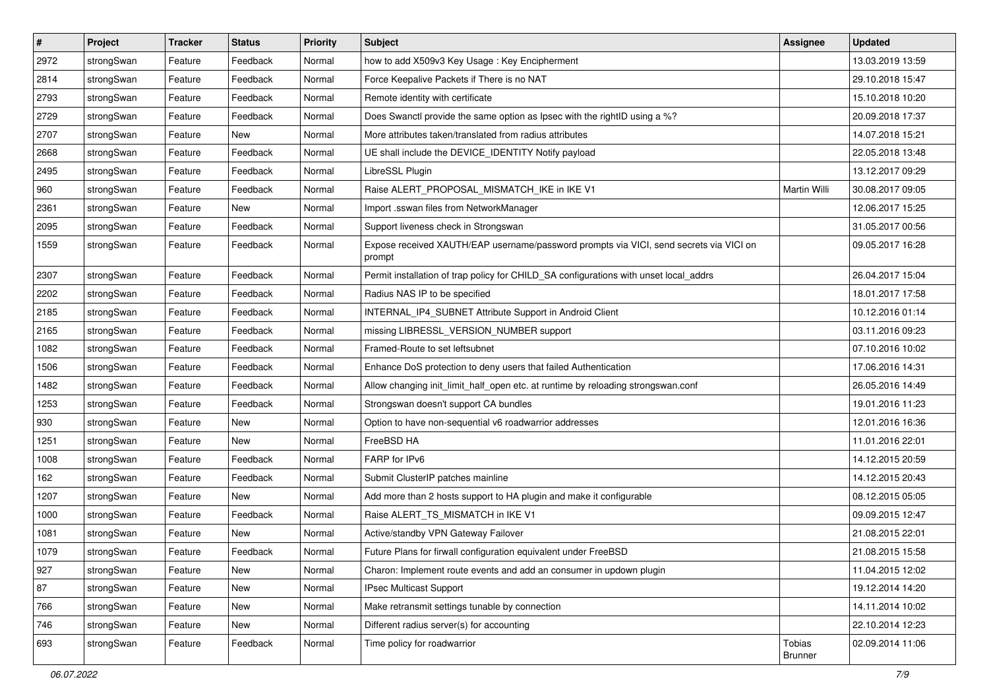| $\pmb{\#}$ | Project    | <b>Tracker</b> | <b>Status</b> | <b>Priority</b> | <b>Subject</b>                                                                                   | <b>Assignee</b>   | <b>Updated</b>   |
|------------|------------|----------------|---------------|-----------------|--------------------------------------------------------------------------------------------------|-------------------|------------------|
| 2972       | strongSwan | Feature        | Feedback      | Normal          | how to add X509v3 Key Usage: Key Encipherment                                                    |                   | 13.03.2019 13:59 |
| 2814       | strongSwan | Feature        | Feedback      | Normal          | Force Keepalive Packets if There is no NAT                                                       |                   | 29.10.2018 15:47 |
| 2793       | strongSwan | Feature        | Feedback      | Normal          | Remote identity with certificate                                                                 |                   | 15.10.2018 10:20 |
| 2729       | strongSwan | Feature        | Feedback      | Normal          | Does Swanctl provide the same option as Ipsec with the rightID using a %?                        |                   | 20.09.2018 17:37 |
| 2707       | strongSwan | Feature        | New           | Normal          | More attributes taken/translated from radius attributes                                          |                   | 14.07.2018 15:21 |
| 2668       | strongSwan | Feature        | Feedback      | Normal          | UE shall include the DEVICE_IDENTITY Notify payload                                              |                   | 22.05.2018 13:48 |
| 2495       | strongSwan | Feature        | Feedback      | Normal          | LibreSSL Plugin                                                                                  |                   | 13.12.2017 09:29 |
| 960        | strongSwan | Feature        | Feedback      | Normal          | Raise ALERT PROPOSAL MISMATCH IKE in IKE V1                                                      | Martin Willi      | 30.08.2017 09:05 |
| 2361       | strongSwan | Feature        | New           | Normal          | Import .sswan files from NetworkManager                                                          |                   | 12.06.2017 15:25 |
| 2095       | strongSwan | Feature        | Feedback      | Normal          | Support liveness check in Strongswan                                                             |                   | 31.05.2017 00:56 |
| 1559       | strongSwan | Feature        | Feedback      | Normal          | Expose received XAUTH/EAP username/password prompts via VICI, send secrets via VICI on<br>prompt |                   | 09.05.2017 16:28 |
| 2307       | strongSwan | Feature        | Feedback      | Normal          | Permit installation of trap policy for CHILD_SA configurations with unset local_addrs            |                   | 26.04.2017 15:04 |
| 2202       | strongSwan | Feature        | Feedback      | Normal          | Radius NAS IP to be specified                                                                    |                   | 18.01.2017 17:58 |
| 2185       | strongSwan | Feature        | Feedback      | Normal          | INTERNAL_IP4_SUBNET Attribute Support in Android Client                                          |                   | 10.12.2016 01:14 |
| 2165       | strongSwan | Feature        | Feedback      | Normal          | missing LIBRESSL_VERSION_NUMBER support                                                          |                   | 03.11.2016 09:23 |
| 1082       | strongSwan | Feature        | Feedback      | Normal          | Framed-Route to set leftsubnet                                                                   |                   | 07.10.2016 10:02 |
| 1506       | strongSwan | Feature        | Feedback      | Normal          | Enhance DoS protection to deny users that failed Authentication                                  |                   | 17.06.2016 14:31 |
| 1482       | strongSwan | Feature        | Feedback      | Normal          | Allow changing init_limit_half_open etc. at runtime by reloading strongswan.conf                 |                   | 26.05.2016 14:49 |
| 1253       | strongSwan | Feature        | Feedback      | Normal          | Strongswan doesn't support CA bundles                                                            |                   | 19.01.2016 11:23 |
| 930        | strongSwan | Feature        | New           | Normal          | Option to have non-sequential v6 roadwarrior addresses                                           |                   | 12.01.2016 16:36 |
| 1251       | strongSwan | Feature        | New           | Normal          | FreeBSD HA                                                                                       |                   | 11.01.2016 22:01 |
| 1008       | strongSwan | Feature        | Feedback      | Normal          | FARP for IPv6                                                                                    |                   | 14.12.2015 20:59 |
| 162        | strongSwan | Feature        | Feedback      | Normal          | Submit ClusterIP patches mainline                                                                |                   | 14.12.2015 20:43 |
| 1207       | strongSwan | Feature        | New           | Normal          | Add more than 2 hosts support to HA plugin and make it configurable                              |                   | 08.12.2015 05:05 |
| 1000       | strongSwan | Feature        | Feedback      | Normal          | Raise ALERT_TS_MISMATCH in IKE V1                                                                |                   | 09.09.2015 12:47 |
| 1081       | strongSwan | Feature        | New           | Normal          | Active/standby VPN Gateway Failover                                                              |                   | 21.08.2015 22:01 |
| 1079       | strongSwan | Feature        | Feedback      | Normal          | Future Plans for firwall configuration equivalent under FreeBSD                                  |                   | 21.08.2015 15:58 |
| 927        | strongSwan | Feature        | New           | Normal          | Charon: Implement route events and add an consumer in updown plugin                              |                   | 11.04.2015 12:02 |
| 87         | strongSwan | Feature        | New           | Normal          | <b>IPsec Multicast Support</b>                                                                   |                   | 19.12.2014 14:20 |
| 766        | strongSwan | Feature        | New           | Normal          | Make retransmit settings tunable by connection                                                   |                   | 14.11.2014 10:02 |
| 746        | strongSwan | Feature        | New           | Normal          | Different radius server(s) for accounting                                                        |                   | 22.10.2014 12:23 |
| 693        | strongSwan | Feature        | Feedback      | Normal          | Time policy for roadwarrior                                                                      | Tobias<br>Brunner | 02.09.2014 11:06 |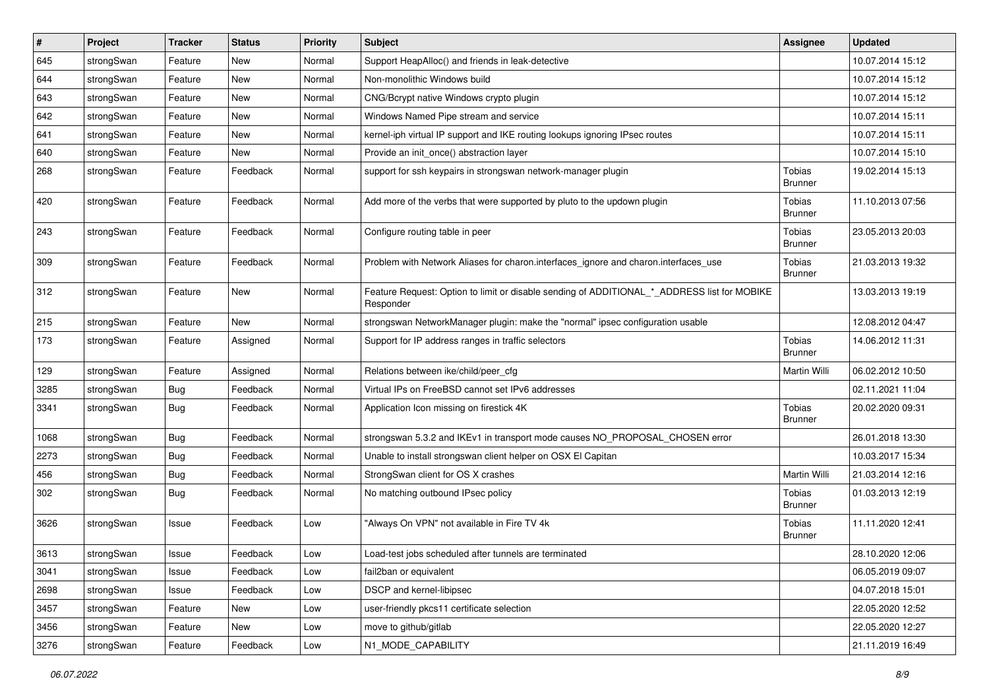| $\vert$ # | Project    | <b>Tracker</b> | <b>Status</b> | <b>Priority</b> | <b>Subject</b>                                                                                           | <b>Assignee</b>                 | <b>Updated</b>   |
|-----------|------------|----------------|---------------|-----------------|----------------------------------------------------------------------------------------------------------|---------------------------------|------------------|
| 645       | strongSwan | Feature        | New           | Normal          | Support HeapAlloc() and friends in leak-detective                                                        |                                 | 10.07.2014 15:12 |
| 644       | strongSwan | Feature        | New           | Normal          | Non-monolithic Windows build                                                                             |                                 | 10.07.2014 15:12 |
| 643       | strongSwan | Feature        | New           | Normal          | CNG/Bcrypt native Windows crypto plugin                                                                  |                                 | 10.07.2014 15:12 |
| 642       | strongSwan | Feature        | New           | Normal          | Windows Named Pipe stream and service                                                                    |                                 | 10.07.2014 15:11 |
| 641       | strongSwan | Feature        | <b>New</b>    | Normal          | kernel-iph virtual IP support and IKE routing lookups ignoring IPsec routes                              |                                 | 10.07.2014 15:11 |
| 640       | strongSwan | Feature        | New           | Normal          | Provide an init_once() abstraction layer                                                                 |                                 | 10.07.2014 15:10 |
| 268       | strongSwan | Feature        | Feedback      | Normal          | support for ssh keypairs in strongswan network-manager plugin                                            | Tobias<br>Brunner               | 19.02.2014 15:13 |
| 420       | strongSwan | Feature        | Feedback      | Normal          | Add more of the verbs that were supported by pluto to the updown plugin                                  | Tobias<br><b>Brunner</b>        | 11.10.2013 07:56 |
| 243       | strongSwan | Feature        | Feedback      | Normal          | Configure routing table in peer                                                                          | Tobias<br><b>Brunner</b>        | 23.05.2013 20:03 |
| 309       | strongSwan | Feature        | Feedback      | Normal          | Problem with Network Aliases for charon.interfaces_ignore and charon.interfaces_use                      | <b>Tobias</b><br><b>Brunner</b> | 21.03.2013 19:32 |
| 312       | strongSwan | Feature        | New           | Normal          | Feature Request: Option to limit or disable sending of ADDITIONAL_*_ADDRESS list for MOBIKE<br>Responder |                                 | 13.03.2013 19:19 |
| 215       | strongSwan | Feature        | <b>New</b>    | Normal          | strongswan NetworkManager plugin: make the "normal" ipsec configuration usable                           |                                 | 12.08.2012 04:47 |
| 173       | strongSwan | Feature        | Assigned      | Normal          | Support for IP address ranges in traffic selectors                                                       | <b>Tobias</b><br><b>Brunner</b> | 14.06.2012 11:31 |
| 129       | strongSwan | Feature        | Assigned      | Normal          | Relations between ike/child/peer_cfg                                                                     | Martin Willi                    | 06.02.2012 10:50 |
| 3285      | strongSwan | Bug            | Feedback      | Normal          | Virtual IPs on FreeBSD cannot set IPv6 addresses                                                         |                                 | 02.11.2021 11:04 |
| 3341      | strongSwan | Bug            | Feedback      | Normal          | Application Icon missing on firestick 4K                                                                 | Tobias<br><b>Brunner</b>        | 20.02.2020 09:31 |
| 1068      | strongSwan | Bug            | Feedback      | Normal          | strongswan 5.3.2 and IKEv1 in transport mode causes NO_PROPOSAL_CHOSEN error                             |                                 | 26.01.2018 13:30 |
| 2273      | strongSwan | Bug            | Feedback      | Normal          | Unable to install strongswan client helper on OSX El Capitan                                             |                                 | 10.03.2017 15:34 |
| 456       | strongSwan | <b>Bug</b>     | Feedback      | Normal          | StrongSwan client for OS X crashes                                                                       | Martin Willi                    | 21.03.2014 12:16 |
| 302       | strongSwan | Bug            | Feedback      | Normal          | No matching outbound IPsec policy                                                                        | Tobias<br><b>Brunner</b>        | 01.03.2013 12:19 |
| 3626      | strongSwan | Issue          | Feedback      | Low             | "Always On VPN" not available in Fire TV 4k                                                              | Tobias<br><b>Brunner</b>        | 11.11.2020 12:41 |
| 3613      | strongSwan | Issue          | Feedback      | Low             | Load-test jobs scheduled after tunnels are terminated                                                    |                                 | 28.10.2020 12:06 |
| 3041      | strongSwan | Issue          | Feedback      | Low             | fail2ban or equivalent                                                                                   |                                 | 06.05.2019 09:07 |
| 2698      | strongSwan | Issue          | Feedback      | Low             | DSCP and kernel-libipsec                                                                                 |                                 | 04.07.2018 15:01 |
| 3457      | strongSwan | Feature        | <b>New</b>    | Low             | user-friendly pkcs11 certificate selection                                                               |                                 | 22.05.2020 12:52 |
| 3456      | strongSwan | Feature        | New           | Low             | move to github/gitlab                                                                                    |                                 | 22.05.2020 12:27 |
| 3276      | strongSwan | Feature        | Feedback      | Low             | N1_MODE_CAPABILITY                                                                                       |                                 | 21.11.2019 16:49 |